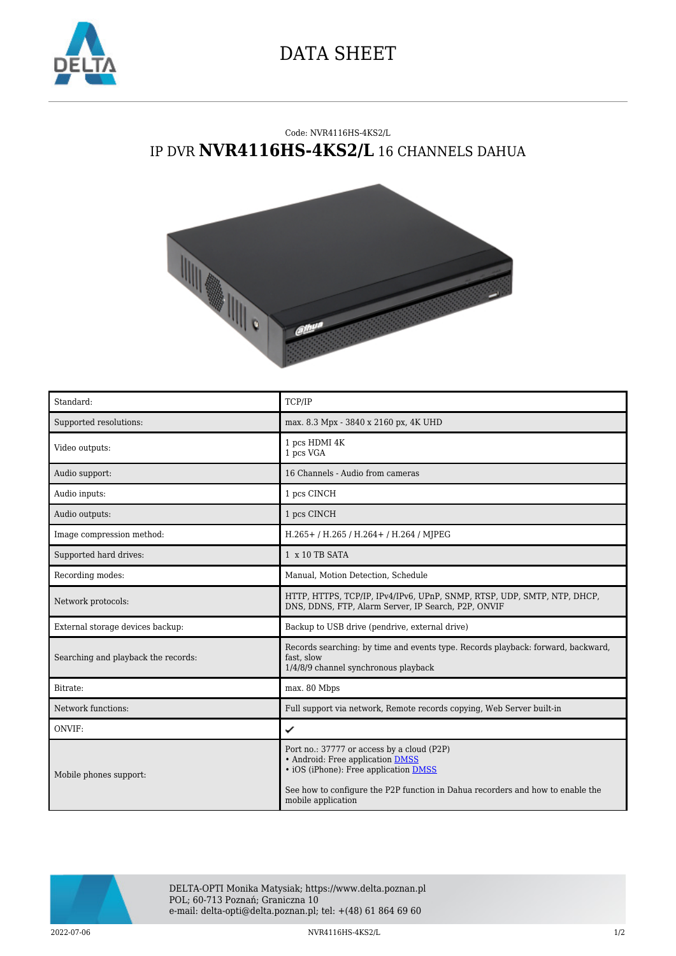

## DATA SHEET

## Code: NVR4116HS-4KS2/L IP DVR **NVR4116HS-4KS2/L** 16 CHANNELS DAHUA



| Standard:                           | TCP/IP                                                                                                                                                                                                                                        |
|-------------------------------------|-----------------------------------------------------------------------------------------------------------------------------------------------------------------------------------------------------------------------------------------------|
| Supported resolutions:              | max. 8.3 Mpx - 3840 x 2160 px, 4K UHD                                                                                                                                                                                                         |
| Video outputs:                      | 1 pcs HDMI 4K<br>1 pcs VGA                                                                                                                                                                                                                    |
| Audio support:                      | 16 Channels - Audio from cameras                                                                                                                                                                                                              |
| Audio inputs:                       | 1 pcs CINCH                                                                                                                                                                                                                                   |
| Audio outputs:                      | 1 pcs CINCH                                                                                                                                                                                                                                   |
| Image compression method:           | H.265+/H.265/H.264+/H.264/MJPEG                                                                                                                                                                                                               |
| Supported hard drives:              | 1 x 10 TB SATA                                                                                                                                                                                                                                |
| Recording modes:                    | Manual, Motion Detection, Schedule                                                                                                                                                                                                            |
| Network protocols:                  | HTTP, HTTPS, TCP/IP, IPv4/IPv6, UPnP, SNMP, RTSP, UDP, SMTP, NTP, DHCP,<br>DNS, DDNS, FTP, Alarm Server, IP Search, P2P, ONVIF                                                                                                                |
| External storage devices backup:    | Backup to USB drive (pendrive, external drive)                                                                                                                                                                                                |
| Searching and playback the records: | Records searching: by time and events type. Records playback: forward, backward,<br>fast, slow<br>1/4/8/9 channel synchronous playback                                                                                                        |
| Bitrate:                            | max. 80 Mbps                                                                                                                                                                                                                                  |
| Network functions:                  | Full support via network, Remote records copying, Web Server built-in                                                                                                                                                                         |
| ONVIF:                              | ✓                                                                                                                                                                                                                                             |
| Mobile phones support:              | Port no.: 37777 or access by a cloud (P2P)<br>• Android: Free application <b>DMSS</b><br>• iOS (iPhone): Free application <b>DMSS</b><br>See how to configure the P2P function in Dahua recorders and how to enable the<br>mobile application |



DELTA-OPTI Monika Matysiak; https://www.delta.poznan.pl POL; 60-713 Poznań; Graniczna 10 e-mail: delta-opti@delta.poznan.pl; tel: +(48) 61 864 69 60